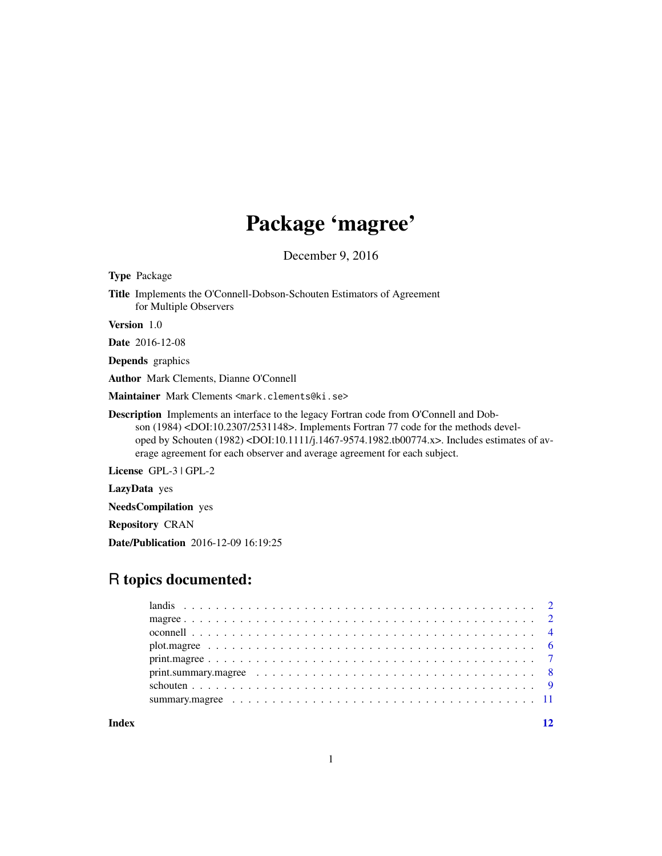# Package 'magree'

December 9, 2016

| <b>Type Package</b>                                                                                                                                                                                                                                                                                                                                                                                               |
|-------------------------------------------------------------------------------------------------------------------------------------------------------------------------------------------------------------------------------------------------------------------------------------------------------------------------------------------------------------------------------------------------------------------|
| <b>Title</b> Implements the O'Connell-Dobson-Schouten Estimators of Agreement<br>for Multiple Observers                                                                                                                                                                                                                                                                                                           |
| <b>Version</b> 1.0                                                                                                                                                                                                                                                                                                                                                                                                |
| <b>Date</b> 2016-12-08                                                                                                                                                                                                                                                                                                                                                                                            |
| <b>Depends</b> graphics                                                                                                                                                                                                                                                                                                                                                                                           |
| <b>Author</b> Mark Clements, Dianne O'Connell                                                                                                                                                                                                                                                                                                                                                                     |
| Maintainer Mark Clements <mark.clements@ki.se></mark.clements@ki.se>                                                                                                                                                                                                                                                                                                                                              |
| <b>Description</b> Implements an interface to the legacy Fortran code from O'Connell and Dob-<br>son (1984) <doi:10.2307 2531148="">. Implements Fortran 77 code for the methods devel-<br/>oped by Schouten <math>(1982)</math> <doi:10.1111 j.1467-9574.1982.tb00774.x="">. Includes estimates of av-<br/>erage agreement for each observer and average agreement for each subject.</doi:10.1111></doi:10.2307> |
| License $GPL-3$ $GPL-2$                                                                                                                                                                                                                                                                                                                                                                                           |
| LazyData yes                                                                                                                                                                                                                                                                                                                                                                                                      |
| <b>NeedsCompilation</b> yes                                                                                                                                                                                                                                                                                                                                                                                       |
| <b>Repository CRAN</b>                                                                                                                                                                                                                                                                                                                                                                                            |
| <b>Date/Publication</b> 2016-12-09 16:19:25                                                                                                                                                                                                                                                                                                                                                                       |
|                                                                                                                                                                                                                                                                                                                                                                                                                   |

# R topics documented:

**Index** [12](#page-11-0)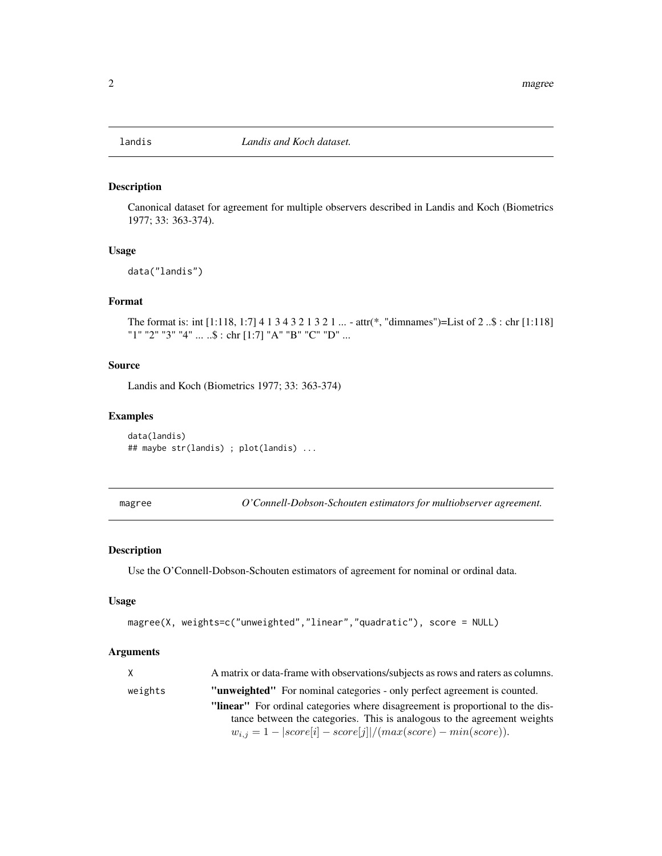<span id="page-1-0"></span>

Canonical dataset for agreement for multiple observers described in Landis and Koch (Biometrics 1977; 33: 363-374).

#### Usage

data("landis")

#### Format

The format is: int [1:118, 1:7] 4 1 3 4 3 2 1 3 2 1 ... - attr(\*, "dimnames")=List of 2 ..\$ : chr [1:118] "1" "2" "3" "4" ... ..\$ : chr [1:7] "A" "B" "C" "D" ...

#### Source

Landis and Koch (Biometrics 1977; 33: 363-374)

#### Examples

```
data(landis)
## maybe str(landis) ; plot(landis) ...
```
<span id="page-1-1"></span>magree *O'Connell-Dobson-Schouten estimators for multiobserver agreement.*

#### Description

Use the O'Connell-Dobson-Schouten estimators of agreement for nominal or ordinal data.

#### Usage

```
magree(X, weights=c("unweighted","linear","quadratic"), score = NULL)
```
#### Arguments

| $\mathsf{X}$ | A matrix or data-frame with observations/subjects as rows and raters as columns. |
|--------------|----------------------------------------------------------------------------------|
| weights      | <b>"unweighted"</b> For nominal categories - only perfect agreement is counted.  |
|              | "linear" For ordinal categories where disagreement is proportional to the dis-   |
|              | tance between the categories. This is analogous to the agreement weights         |
|              | $w_{i,j} = 1 -  score[i] - score[j] /(max(score) - min(score)).$                 |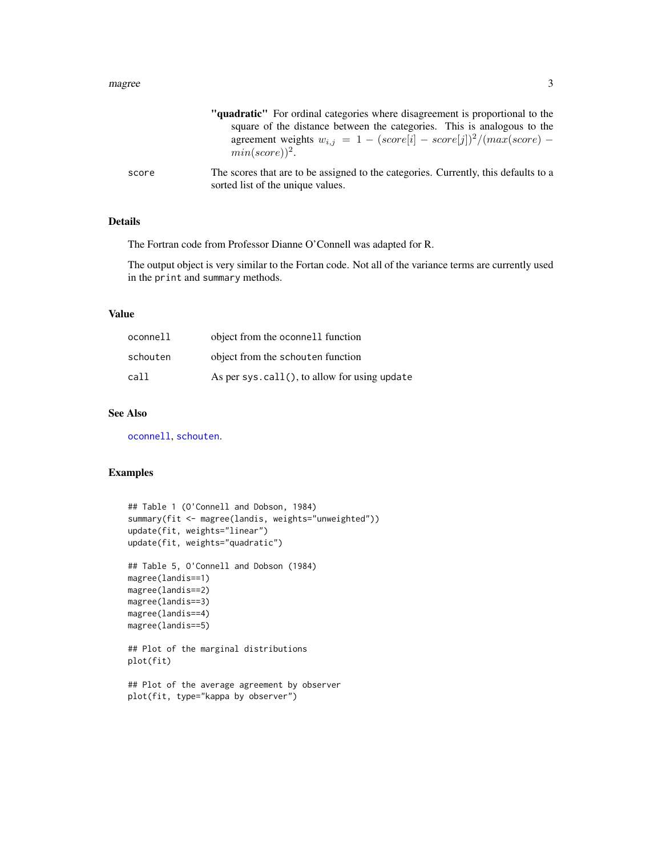#### <span id="page-2-0"></span>magree 3 and 3 and 3 and 3 and 3 and 3 and 3 and 3 and 3 and 3 and 3 and 3 and 3 and 3 and 3 and 3 and 3 and 3 and 3 and 3 and 3 and 3 and 3 and 3 and 3 and 3 and 3 and 3 and 3 and 3 and 3 and 3 and 3 and 3 and 3 and 3 and

|       | "quadratic" For ordinal categories where disagreement is proportional to the                                             |
|-------|--------------------------------------------------------------------------------------------------------------------------|
|       | square of the distance between the categories. This is analogous to the                                                  |
|       | agreement weights $w_{i,j} = 1 - (score[i] - score[j])^2/(max(score) -$<br>$min(score))^2$ .                             |
| score | The scores that are to be assigned to the categories. Currently, this defaults to a<br>sorted list of the unique values. |

# Details

The Fortran code from Professor Dianne O'Connell was adapted for R.

The output object is very similar to the Fortan code. Not all of the variance terms are currently used in the print and summary methods.

#### Value

| oconnell | object from the oconnell function                |
|----------|--------------------------------------------------|
| schouten | object from the schouten function                |
| call     | As per sys. $call()$ , to allow for using update |

#### See Also

[oconnell](#page-3-1), [schouten](#page-8-1).

#### Examples

```
## Table 1 (O'Connell and Dobson, 1984)
summary(fit <- magree(landis, weights="unweighted"))
update(fit, weights="linear")
update(fit, weights="quadratic")
## Table 5, O'Connell and Dobson (1984)
magree(landis==1)
magree(landis==2)
magree(landis==3)
magree(landis==4)
magree(landis==5)
## Plot of the marginal distributions
plot(fit)
## Plot of the average agreement by observer
plot(fit, type="kappa by observer")
```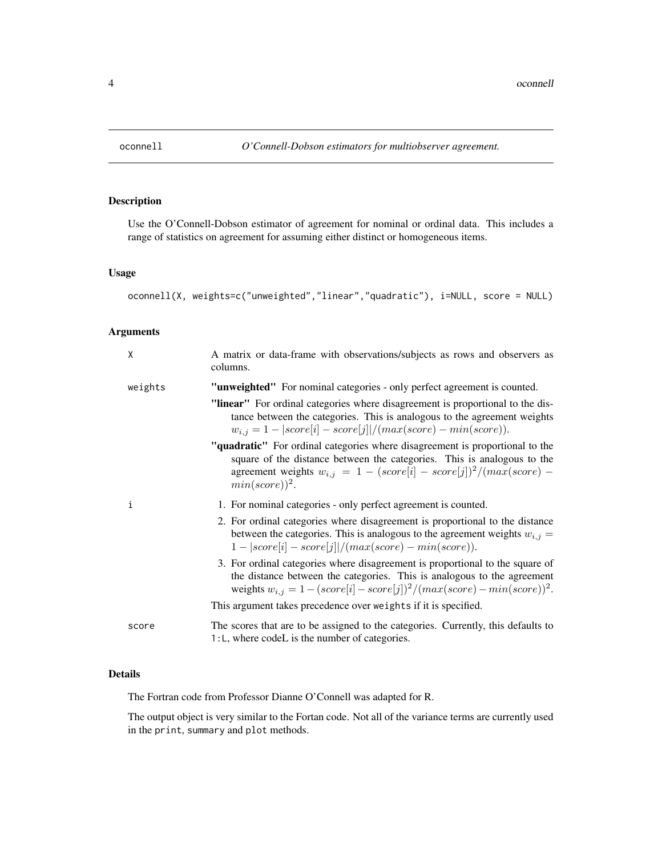<span id="page-3-1"></span><span id="page-3-0"></span>

Use the O'Connell-Dobson estimator of agreement for nominal or ordinal data. This includes a range of statistics on agreement for assuming either distinct or homogeneous items.

# Usage

```
oconnell(X, weights=c("unweighted","linear","quadratic"), i=NULL, score = NULL)
```
# Arguments

| X       | A matrix or data-frame with observations/subjects as rows and observers as<br>columns.                                                                                                                                                                  |
|---------|---------------------------------------------------------------------------------------------------------------------------------------------------------------------------------------------------------------------------------------------------------|
| weights | "unweighted" For nominal categories - only perfect agreement is counted.                                                                                                                                                                                |
|         | "linear" For ordinal categories where disagreement is proportional to the dis-<br>tance between the categories. This is analogous to the agreement weights<br>$w_{i,j} = 1 -  score[i] - score[j] /(max(score) - min(score)).$                          |
|         | "quadratic" For ordinal categories where disagreement is proportional to the<br>square of the distance between the categories. This is analogous to the<br>agreement weights $w_{i,j} = 1 - (score[i] - score[j])^2/(max(score) -$<br>$min(score))^2$ . |
| i       | 1. For nominal categories - only perfect agreement is counted.                                                                                                                                                                                          |
|         | 2. For ordinal categories where disagreement is proportional to the distance<br>between the categories. This is analogous to the agreement weights $w_{i,j} =$<br>$1 -  score[i] - score[j] /(max(score) - min(score)).$                                |
|         | 3. For ordinal categories where disagreement is proportional to the square of<br>the distance between the categories. This is analogous to the agreement<br>weights $w_{i,j} = 1 - (score[i] - score[j])^2/(max(score) - min(score))^2$ .               |
|         | This argument takes precedence over weights if it is specified.                                                                                                                                                                                         |
| score   | The scores that are to be assigned to the categories. Currently, this defaults to<br>1:L, where codeL is the number of categories.                                                                                                                      |

#### Details

The Fortran code from Professor Dianne O'Connell was adapted for R.

The output object is very similar to the Fortan code. Not all of the variance terms are currently used in the print, summary and plot methods.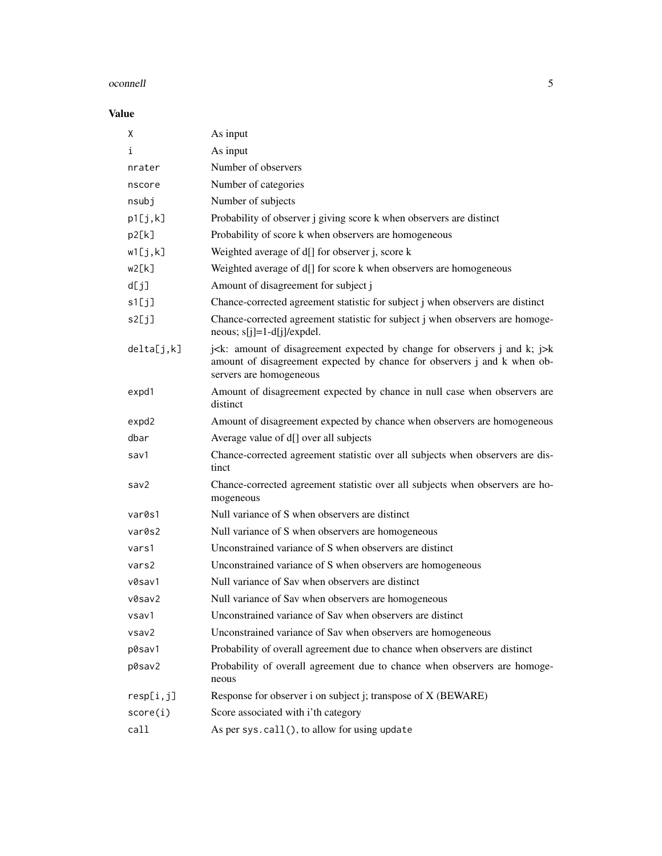#### oconnell 5

# Value

| Χ          | As input                                                                                                                                                                                                                                 |
|------------|------------------------------------------------------------------------------------------------------------------------------------------------------------------------------------------------------------------------------------------|
| i          | As input                                                                                                                                                                                                                                 |
| nrater     | Number of observers                                                                                                                                                                                                                      |
| nscore     | Number of categories                                                                                                                                                                                                                     |
| nsubj      | Number of subjects                                                                                                                                                                                                                       |
| p1[j,k]    | Probability of observer j giving score k when observers are distinct                                                                                                                                                                     |
| p2[k]      | Probability of score k when observers are homogeneous                                                                                                                                                                                    |
| w1[j,k]    | Weighted average of d[] for observer j, score k                                                                                                                                                                                          |
| w2[k]      | Weighted average of d[] for score k when observers are homogeneous                                                                                                                                                                       |
| d[j]       | Amount of disagreement for subject j                                                                                                                                                                                                     |
| s1[j]      | Chance-corrected agreement statistic for subject j when observers are distinct                                                                                                                                                           |
| s2[j]      | Chance-corrected agreement statistic for subject j when observers are homoge-<br>neous; $s[j]=1-d[j]/expdel$ .                                                                                                                           |
| delta[j,k] | j <k: <math="" amount="" and="" by="" change="" disagreement="" expected="" for="" j="" k;="" observers="" of="">\exists k<br/>amount of disagreement expected by chance for observers j and k when ob-<br/>servers are homogeneous</k:> |
| expd1      | Amount of disagreement expected by chance in null case when observers are<br>distinct                                                                                                                                                    |
| expd2      | Amount of disagreement expected by chance when observers are homogeneous                                                                                                                                                                 |
| dbar       | Average value of d[] over all subjects                                                                                                                                                                                                   |
| sav1       | Chance-corrected agreement statistic over all subjects when observers are dis-<br>tinct                                                                                                                                                  |
| sav2       | Chance-corrected agreement statistic over all subjects when observers are ho-<br>mogeneous                                                                                                                                               |
| var0s1     | Null variance of S when observers are distinct                                                                                                                                                                                           |
| var0s2     | Null variance of S when observers are homogeneous                                                                                                                                                                                        |
| vars1      | Unconstrained variance of S when observers are distinct                                                                                                                                                                                  |
| vars2      | Unconstrained variance of S when observers are homogeneous                                                                                                                                                                               |
| v0sav1     | Null variance of Sav when observers are distinct                                                                                                                                                                                         |
| v0sav2     | Null variance of Sav when observers are homogeneous                                                                                                                                                                                      |
| vsav1      | Unconstrained variance of Sav when observers are distinct                                                                                                                                                                                |
| vsav2      | Unconstrained variance of Sav when observers are homogeneous                                                                                                                                                                             |
| p0sav1     | Probability of overall agreement due to chance when observers are distinct                                                                                                                                                               |
| p0sav2     | Probability of overall agreement due to chance when observers are homoge-<br>neous                                                                                                                                                       |
| resp[i,j]  | Response for observer i on subject j; transpose of X (BEWARE)                                                                                                                                                                            |
| score(i)   | Score associated with i'th category                                                                                                                                                                                                      |
| call       | As per sys.call(), to allow for using update                                                                                                                                                                                             |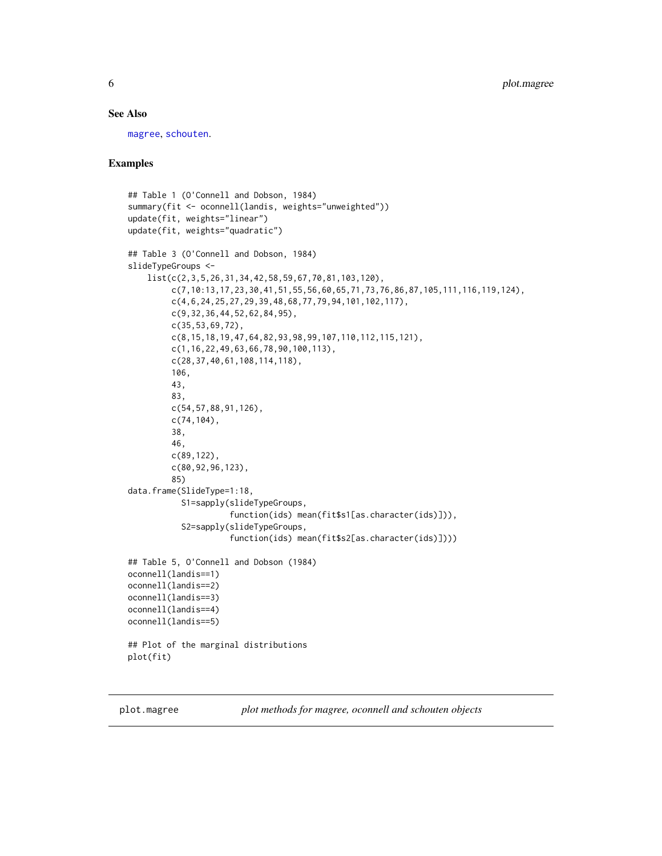#### <span id="page-5-0"></span>See Also

[magree](#page-1-1), [schouten](#page-8-1).

#### Examples

```
## Table 1 (O'Connell and Dobson, 1984)
summary(fit <- oconnell(landis, weights="unweighted"))
update(fit, weights="linear")
update(fit, weights="quadratic")
## Table 3 (O'Connell and Dobson, 1984)
slideTypeGroups <-
    list(c(2,3,5,26,31,34,42,58,59,67,70,81,103,120),
         c(7,10:13,17,23,30,41,51,55,56,60,65,71,73,76,86,87,105,111,116,119,124),
         c(4,6,24,25,27,29,39,48,68,77,79,94,101,102,117),
         c(9,32,36,44,52,62,84,95),
         c(35,53,69,72),
         c(8,15,18,19,47,64,82,93,98,99,107,110,112,115,121),
         c(1,16,22,49,63,66,78,90,100,113),
         c(28,37,40,61,108,114,118),
         106,
         43,
         83,
         c(54,57,88,91,126),
         c(74,104),
         38,
         46,
         c(89,122),
         c(80,92,96,123),
         85)
data.frame(SlideType=1:18,
           S1=sapply(slideTypeGroups,
                     function(ids) mean(fit$s1[as.character(ids)])),
           S2=sapply(slideTypeGroups,
                     function(ids) mean(fit$s2[as.character(ids)])))
## Table 5, O'Connell and Dobson (1984)
oconnell(landis==1)
oconnell(landis==2)
oconnell(landis==3)
oconnell(landis==4)
oconnell(landis==5)
## Plot of the marginal distributions
plot(fit)
```
plot.magree *plot methods for magree, oconnell and schouten objects*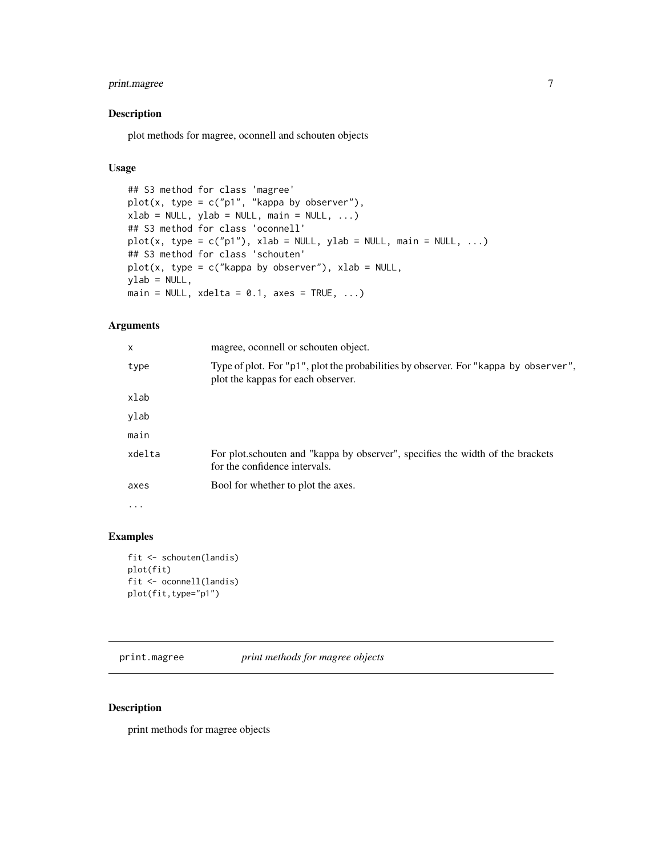# <span id="page-6-0"></span>print.magree 7

#### Description

plot methods for magree, oconnell and schouten objects

#### Usage

```
## S3 method for class 'magree'
plot(x, type = c("p1", "kappa by observer"),xlab = NULL, ylab = NULL, main = NULL, ...)## S3 method for class 'oconnell'
plot(x, type = c("p1"), xlab = NULL, ylab = NULL, main = NULL, ...)
## S3 method for class 'schouten'
plot(x, type = c("kappa by observer"), xlab = NULL,ylab = NULL,main = NULL, xdelta = 0.1, axes = TRUE, ...
```
#### Arguments

| x                 | magree, oconnell or schouten object.                                                                                       |
|-------------------|----------------------------------------------------------------------------------------------------------------------------|
| type              | Type of plot. For "p1", plot the probabilities by observer. For "kappa by observer",<br>plot the kappas for each observer. |
| xlab              |                                                                                                                            |
| ylab              |                                                                                                                            |
| main              |                                                                                                                            |
| xdelta            | For plot schouten and "kappa by observer", specifies the width of the brackets<br>for the confidence intervals.            |
| axes              | Bool for whether to plot the axes.                                                                                         |
| $\cdot\cdot\cdot$ |                                                                                                                            |

#### Examples

```
fit <- schouten(landis)
plot(fit)
fit <- oconnell(landis)
plot(fit,type="p1")
```
print.magree *print methods for magree objects*

#### Description

print methods for magree objects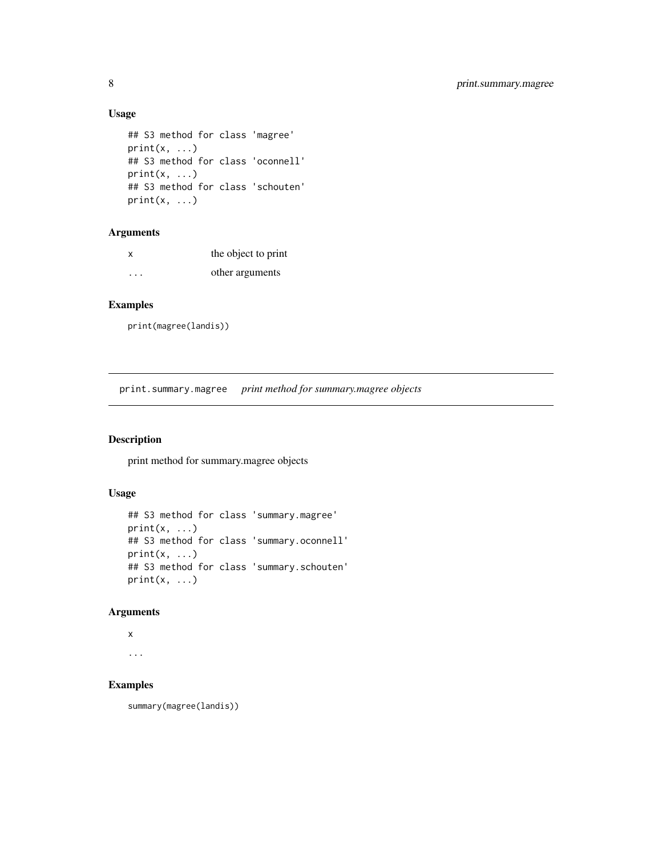# Usage

```
## S3 method for class 'magree'
print(x, \ldots)## S3 method for class 'oconnell'
print(x, \ldots)## S3 method for class 'schouten'
print(x, \ldots)
```
# Arguments

| x | the object to print |
|---|---------------------|
| . | other arguments     |

# Examples

```
print(magree(landis))
```
print.summary.magree *print method for summary.magree objects*

#### Description

print method for summary.magree objects

# Usage

```
## S3 method for class 'summary.magree'
print(x, ...)
## S3 method for class 'summary.oconnell'
print(x, \ldots)## S3 method for class 'summary.schouten'
print(x, \ldots)
```
#### Arguments

```
x
```
...

# Examples

summary(magree(landis))

<span id="page-7-0"></span>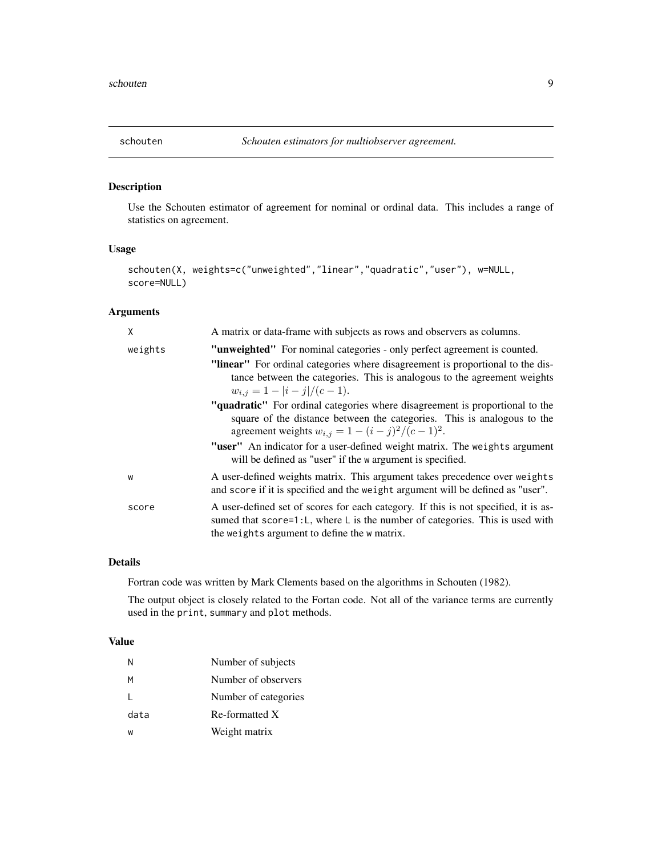<span id="page-8-1"></span><span id="page-8-0"></span>

Use the Schouten estimator of agreement for nominal or ordinal data. This includes a range of statistics on agreement.

# Usage

```
schouten(X, weights=c("unweighted","linear","quadratic","user"), w=NULL,
score=NULL)
```
# Arguments

| X       | A matrix or data-frame with subjects as rows and observers as columns.                                                                                                                                               |
|---------|----------------------------------------------------------------------------------------------------------------------------------------------------------------------------------------------------------------------|
| weights | "unweighted" For nominal categories - only perfect agreement is counted.                                                                                                                                             |
|         | "linear" For ordinal categories where disagreement is proportional to the dis-<br>tance between the categories. This is analogous to the agreement weights<br>$w_{i,j} = 1 -  i - j /(c - 1).$                       |
|         | "quadratic" For ordinal categories where disagreement is proportional to the<br>square of the distance between the categories. This is analogous to the<br>agreement weights $w_{i,j} = 1 - (i - j)^2 / (c - 1)^2$ . |
|         | "user" An indicator for a user-defined weight matrix. The weights argument<br>will be defined as "user" if the w argument is specified.                                                                              |
| W       | A user-defined weights matrix. This argument takes precedence over weights<br>and score if it is specified and the weight argument will be defined as "user".                                                        |
| score   | A user-defined set of scores for each category. If this is not specified, it is as-<br>sumed that score=1:L, where L is the number of categories. This is used with<br>the weights argument to define the w matrix.  |

#### Details

Fortran code was written by Mark Clements based on the algorithms in Schouten (1982).

The output object is closely related to the Fortan code. Not all of the variance terms are currently used in the print, summary and plot methods.

#### Value

| N    | Number of subjects   |
|------|----------------------|
| М    | Number of observers  |
| L    | Number of categories |
| data | Re-formatted X       |
| W    | Weight matrix        |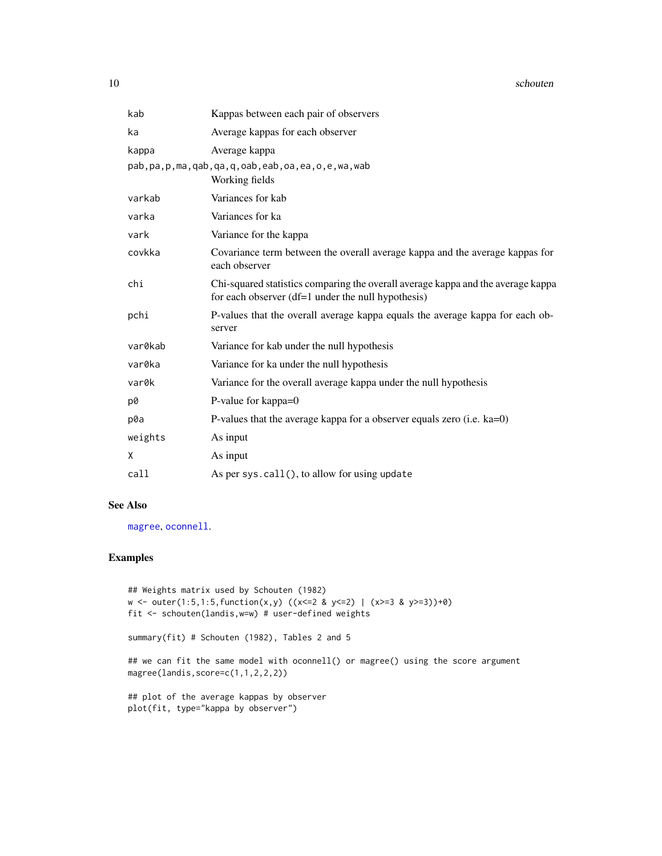#### <span id="page-9-0"></span>10 schouten and the schouten schouten and the schouten schouten schouten schouten schouten schouten schouten schouten schouten schouten schouten schouten schouten schouten schouten schouten schouten schouten schouten schou

| kab     | Kappas between each pair of observers                                                                                                  |
|---------|----------------------------------------------------------------------------------------------------------------------------------------|
| ka      | Average kappas for each observer                                                                                                       |
| kappa   | Average kappa                                                                                                                          |
|         | pab, pa, p, ma, qab, qa, q, oab, eab, oa, ea, o, e, wa, wab<br>Working fields                                                          |
| varkab  | Variances for kab                                                                                                                      |
| varka   | Variances for ka                                                                                                                       |
| vark    | Variance for the kappa                                                                                                                 |
| covkka  | Covariance term between the overall average kappa and the average kappas for<br>each observer                                          |
| chi     | Chi-squared statistics comparing the overall average kappa and the average kappa<br>for each observer (df=1 under the null hypothesis) |
| pchi    | P-values that the overall average kappa equals the average kappa for each ob-<br>server                                                |
| var0kab | Variance for kab under the null hypothesis                                                                                             |
| var0ka  | Variance for ka under the null hypothesis                                                                                              |
| var0k   | Variance for the overall average kappa under the null hypothesis                                                                       |
| p0      | P-value for kappa=0                                                                                                                    |
| p0a     | P-values that the average kappa for a observer equals zero (i.e. $ka=0$ )                                                              |
| weights | As input                                                                                                                               |
| Χ       | As input                                                                                                                               |
| call    | As per sys.call(), to allow for using update                                                                                           |
|         |                                                                                                                                        |

#### See Also

[magree](#page-1-1), [oconnell](#page-3-1).

# Examples

```
## Weights matrix used by Schouten (1982)
w <- outer(1:5,1:5,function(x,y) ((x<=2 & y<=2) | (x>=3 & y>=3))+0)
fit <- schouten(landis,w=w) # user-defined weights
summary(fit) # Schouten (1982), Tables 2 and 5
## we can fit the same model with oconnell() or magree() using the score argument
magree(landis,score=c(1,1,2,2,2))
## plot of the average kappas by observer
plot(fit, type="kappa by observer")
```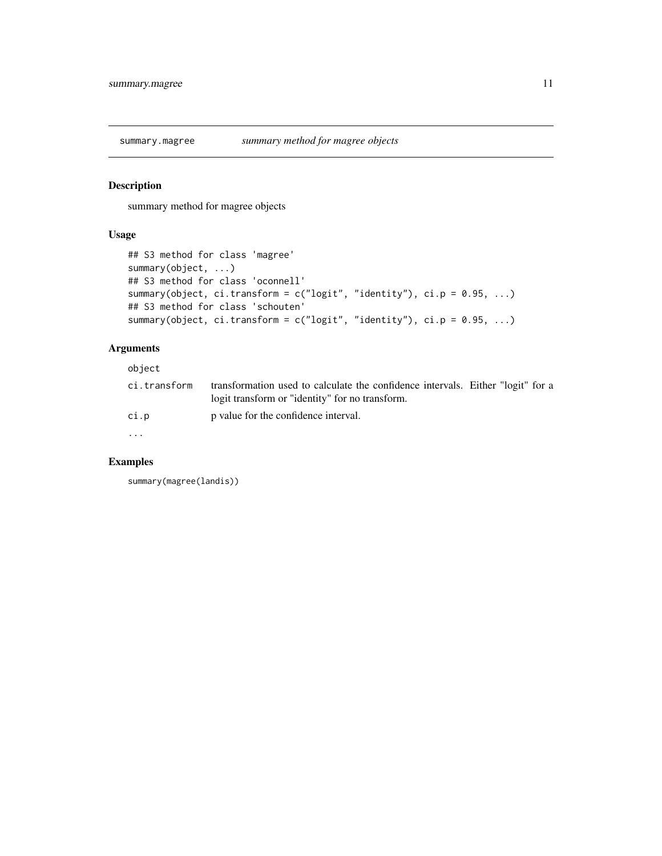<span id="page-10-0"></span>

summary method for magree objects

# Usage

```
## S3 method for class 'magree'
summary(object, ...)
## S3 method for class 'oconnell'
summary(object, ci.transform = c("logit", "identity"), ci.p = 0.95, ...)## S3 method for class 'schouten'
summary(object, ci.transform = c("logit", "identity"), ci.p = 0.95, ...)
```
# Arguments

object

| ci.transform | transformation used to calculate the confidence intervals. Either "logit" for a<br>logit transform or "identity" for no transform. |  |  |
|--------------|------------------------------------------------------------------------------------------------------------------------------------|--|--|
| ci.p         | p value for the confidence interval.                                                                                               |  |  |
| $\cdots$     |                                                                                                                                    |  |  |

#### Examples

summary(magree(landis))